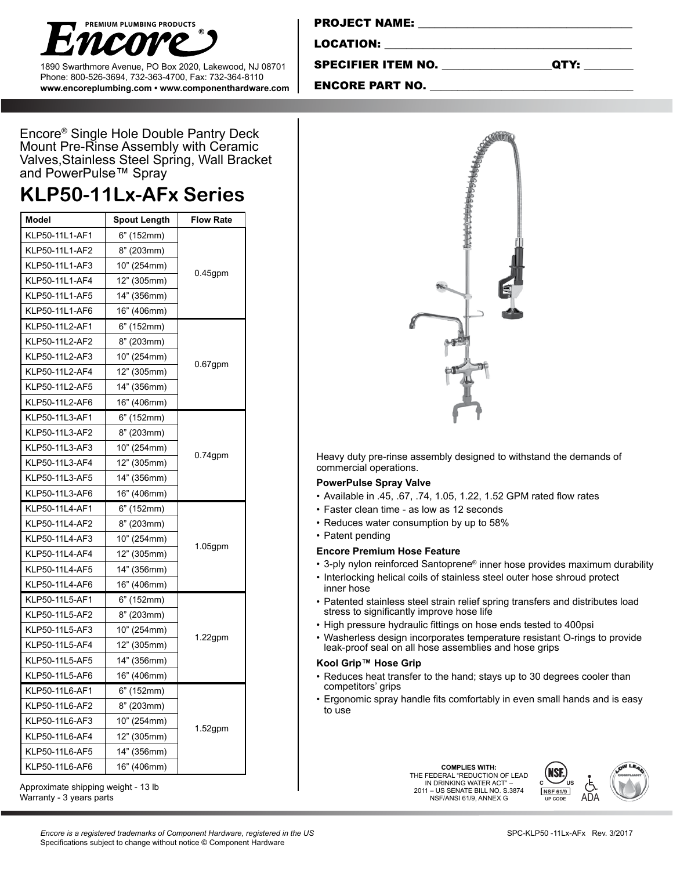

1890 Swarthmore Avenue, PO Box 2020, Lakewood, NJ 08701 Phone: 800-526-3694, 732-363-4700, Fax: 732-364-8110 **www.encoreplumbing.com • www.componenthardware.com**

| <b>PROJECT NAME:</b> |  |  |
|----------------------|--|--|
| LOCATION:            |  |  |
|                      |  |  |

SPECIFIER ITEM NO. \_\_\_\_\_\_\_\_\_\_\_\_\_\_\_\_\_\_\_\_QTY: \_\_\_\_\_\_\_\_\_

ENCORE PART NO.

Encore® Single Hole Double Pantry Deck Mount Pre-Rinse Assembly with Ceramic Valves,Stainless Steel Spring, Wall Bracket and PowerPulse™ Spray

# **KLP50-11Lx-AFx Series**

| <b>Model</b>   | Spout Length              | <b>Flow Rate</b> |  |
|----------------|---------------------------|------------------|--|
| KLP50-11L1-AF1 | 6" (152mm)                |                  |  |
| KLP50-11L1-AF2 | 8" (203mm)                |                  |  |
| KLP50-11L1-AF3 | 10" (254mm)               |                  |  |
| KLP50-11L1-AF4 | $0.45$ gpm<br>12" (305mm) |                  |  |
| KLP50-11L1-AF5 | 14" (356mm)               |                  |  |
| KLP50-11L1-AF6 | 16" (406mm)               |                  |  |
| KLP50-11L2-AF1 | 6" (152mm)                |                  |  |
| KLP50-11L2-AF2 | 8" (203mm)                |                  |  |
| KLP50-11L2-AF3 | 10" (254mm)               |                  |  |
| KLP50-11L2-AF4 | 12" (305mm)               | $0.67$ gpm       |  |
| KLP50-11L2-AF5 | 14" (356mm)               |                  |  |
| KLP50-11L2-AF6 | 16" (406mm)               |                  |  |
| KLP50-11L3-AF1 | 6" (152mm)                |                  |  |
| KLP50-11L3-AF2 | 8" (203mm)                |                  |  |
| KLP50-11L3-AF3 | 10" (254mm)               |                  |  |
| KLP50-11L3-AF4 | 12" (305mm)               | $0.74$ gpm       |  |
| KLP50-11L3-AF5 | 14" (356mm)               |                  |  |
| KLP50-11L3-AF6 | 16" (406mm)               |                  |  |
| KLP50-11L4-AF1 | 6" (152mm)                |                  |  |
| KLP50-11L4-AF2 | 8" (203mm)                |                  |  |
| KLP50-11L4-AF3 | 10" (254mm)               |                  |  |
| KLP50-11L4-AF4 | 12" (305mm)               | $1.05$ gpm       |  |
| KLP50-11L4-AF5 | 14" (356mm)               |                  |  |
| KLP50-11L4-AF6 | 16" (406mm)               |                  |  |
| KLP50-11L5-AF1 | 6" (152mm)                |                  |  |
| KLP50-11L5-AF2 | 8" (203mm)                |                  |  |
| KLP50-11L5-AF3 | 10" (254mm)               |                  |  |
| KLP50-11L5-AF4 | 12" (305mm)               | $1.22$ gpm       |  |
| KLP50-11L5-AF5 | 14" (356mm)               |                  |  |
| KLP50-11L5-AF6 | 16" (406mm)               |                  |  |
| KLP50-11L6-AF1 | 6" (152mm)                |                  |  |
| KLP50-11L6-AF2 | 8" (203mm)                |                  |  |
| KLP50-11L6-AF3 | 10" (254mm)               |                  |  |
| KLP50-11L6-AF4 | 12" (305mm)               | $1.52$ gpm       |  |
| KLP50-11L6-AF5 | 14" (356mm)               |                  |  |
| KLP50-11L6-AF6 | 16" (406mm)               |                  |  |

Heavy duty pre-rinse assembly designed to withstand the demands of commercial operations.

#### **PowerPulse Spray Valve**

- • Available in .45, .67, .74, 1.05, 1.22, 1.52 GPM rated flow rates
- Faster clean time as low as 12 seconds
- Reduces water consumption by up to 58%
- Patent pending

#### **Encore Premium Hose Feature**

- 3-ply nylon reinforced Santoprene® inner hose provides maximum durability
- Interlocking helical coils of stainless steel outer hose shroud protect inner hose
- Patented stainless steel strain relief spring transfers and distributes load stress to significantly improve hose life
- • High pressure hydraulic fittings on hose ends tested to 400psi
- • Washerless design incorporates temperature resistant O-rings to provide leak-proof seal on all hose assemblies and hose grips

### **Kool Grip™ Hose Grip**

- Reduces heat transfer to the hand; stays up to 30 degrees cooler than competitors' grips
- Ergonomic spray handle fits comfortably in even small hands and is easy to use

**COMPLIES WITH:<br>THE FEDERAL "REDUCTION OF LEAD** IN DRINKING WATER ACT" – 2011 – US SENATE BILL NO. S.3874 NSF/ANSI 61/9, ANNEX G



Approximate shipping weight - 13 lb

Warranty - 3 years parts